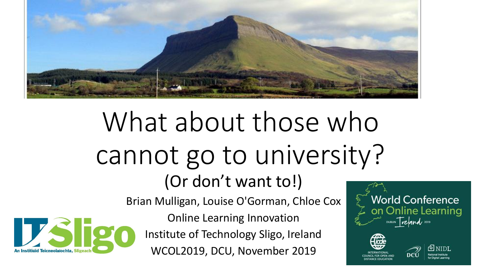

# What about those who cannot go to university? (Or don't want to!)



Brian Mulligan, Louise O'Gorman, Chloe Cox

Online Learning Innovation Institute of Technology Sligo, Ireland WCOL2019, DCU, November 2019

**World Conference** on Online Learning DUBLIN Trefand 2019

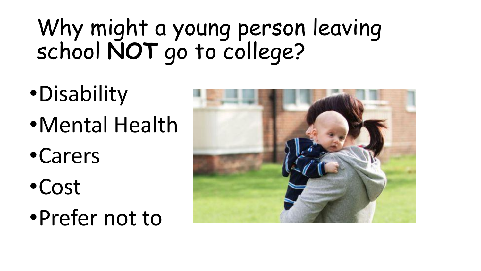## Why might a young person leaving school **NOT** go to college?

- •Disability
- •Mental Health
- •Carers
- •Cost
- •Prefer not to

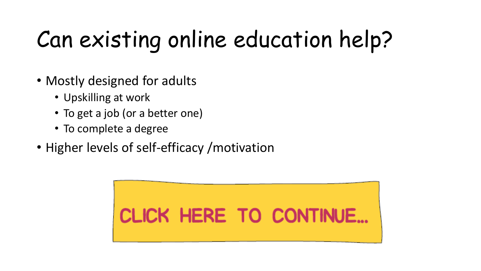# Can existing online education help?

- Mostly designed for adults
	- Upskilling at work
	- To get a job (or a better one)
	- To complete a degree
- Higher levels of self-efficacy / motivation

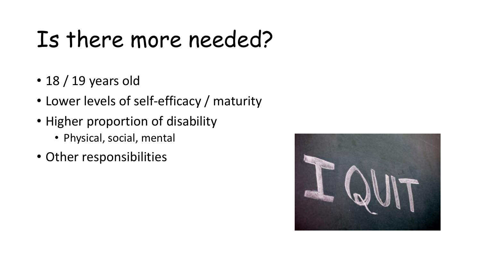## Is there more needed?

- 18 / 19 years old
- Lower levels of self-efficacy / maturity
- Higher proportion of disability
	- Physical, social, mental
- Other responsibilities

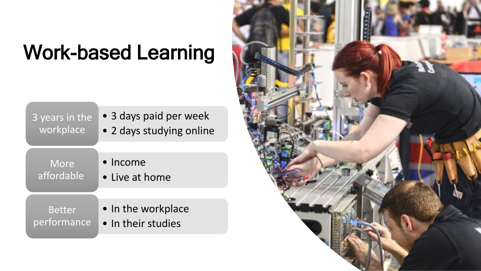#### Work-based Learning

| 3 years in the | • 3 days paid per week   |
|----------------|--------------------------|
| workplace      | • 2 days studying online |
| More           | $\bullet$ Income         |
| affordable     | • Live at home           |
| <b>Better</b>  | • In the workplace       |
| performance    | . In their studies       |

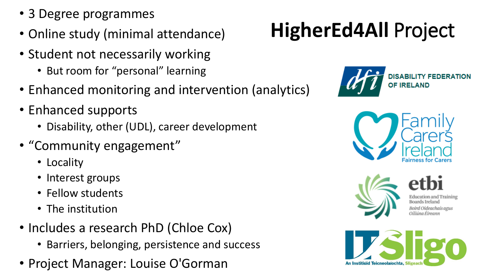- 3 Degree programmes
- Online study (minimal attendance)
- Student not necessarily working
	- But room for "personal" learning
- Enhanced monitoring and intervention (analytics)
- Enhanced supports
	- Disability, other (UDL), career development
- "Community engagement"
	- Locality
	- Interest groups
	- Fellow students
	- The institution
- Includes a research PhD (Chloe Cox)
	- Barriers, belonging, persistence and success
- Project Manager: Louise O'Gorman

#### **HigherEd4All** Project







chais aeus